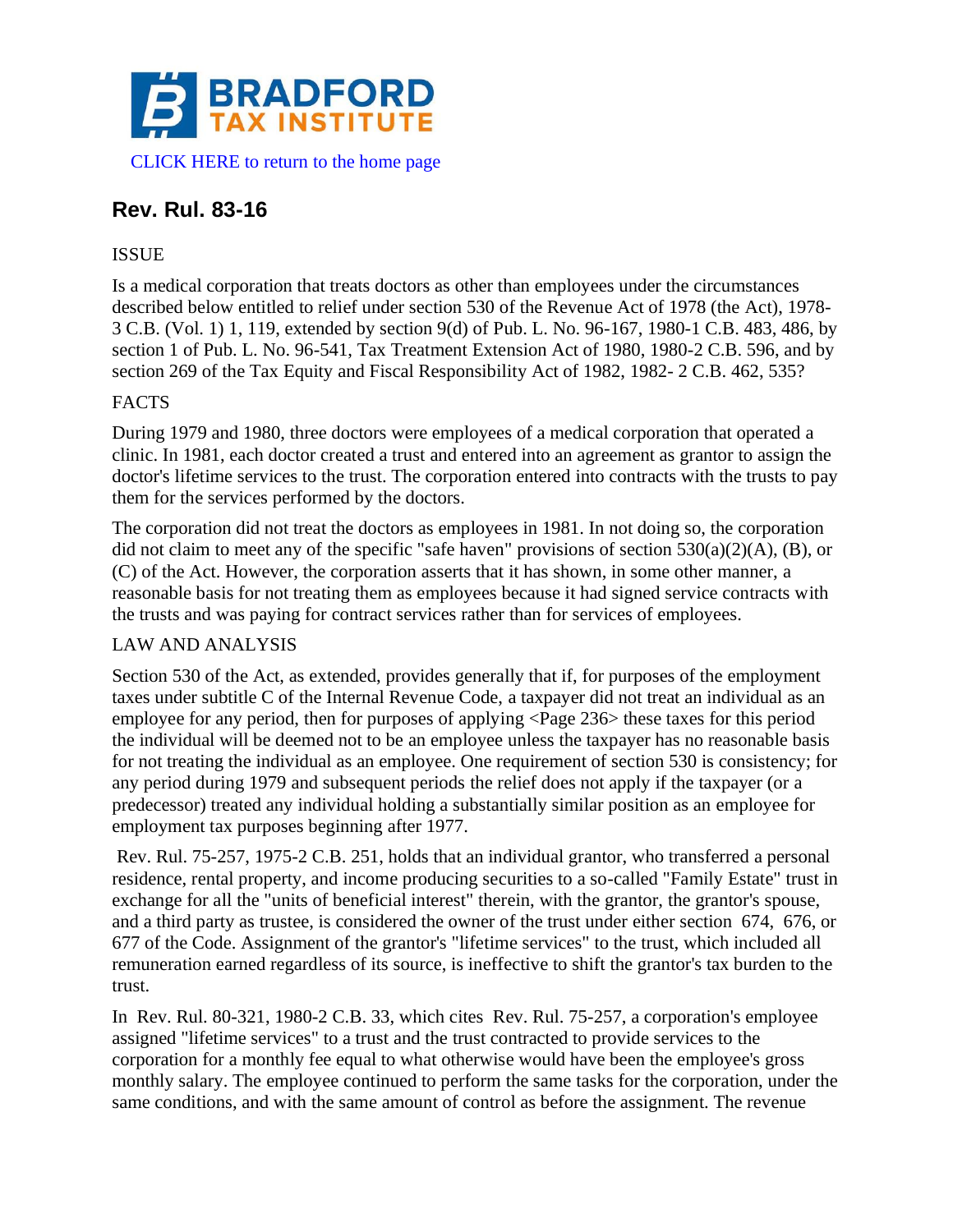

# **Rev. Rul. 83-16**

## ISSUE

Is a medical corporation that treats doctors as other than employees under the circumstances described below entitled to relief under section 530 of the Revenue Act of 1978 (the Act), 1978- 3 C.B. (Vol. 1) 1, 119, extended by section 9(d) of Pub. L. No. 96-167, 1980-1 C.B. 483, 486, by section 1 of Pub. L. No. 96-541, Tax Treatment Extension Act of 1980, 1980-2 C.B. 596, and by section 269 of the Tax Equity and Fiscal Responsibility Act of 1982, 1982- 2 C.B. 462, 535?

# FACTS

During 1979 and 1980, three doctors were employees of a medical corporation that operated a clinic. In 1981, each doctor created a trust and entered into an agreement as grantor to assign the doctor's lifetime services to the trust. The corporation entered into contracts with the trusts to pay them for the services performed by the doctors.

The corporation did not treat the doctors as employees in 1981. In not doing so, the corporation did not claim to meet any of the specific "safe haven" provisions of section  $530(a)(2)(A)$ , (B), or (C) of the Act. However, the corporation asserts that it has shown, in some other manner, a reasonable basis for not treating them as employees because it had signed service contracts with the trusts and was paying for contract services rather than for services of employees.

#### LAW AND ANALYSIS

Section 530 of the Act, as extended, provides generally that if, for purposes of the employment taxes under subtitle C of the Internal Revenue Code, a taxpayer did not treat an individual as an employee for any period, then for purposes of applying <Page 236> these taxes for this period the individual will be deemed not to be an employee unless the taxpayer has no reasonable basis for not treating the individual as an employee. One requirement of section 530 is consistency; for any period during 1979 and subsequent periods the relief does not apply if the taxpayer (or a predecessor) treated any individual holding a substantially similar position as an employee for employment tax purposes beginning after 1977.

Rev. Rul. 75-257, 1975-2 C.B. 251, holds that an individual grantor, who transferred a personal residence, rental property, and income producing securities to a so-called "Family Estate" trust in exchange for all the "units of beneficial interest" therein, with the grantor, the grantor's spouse, and a third party as trustee, is considered the owner of the trust under either section 674, 676, or 677 of the Code. Assignment of the grantor's "lifetime services" to the trust, which included all remuneration earned regardless of its source, is ineffective to shift the grantor's tax burden to the trust.

In Rev. Rul. 80-321, 1980-2 C.B. 33, which cites Rev. Rul. 75-257, a corporation's employee assigned "lifetime services" to a trust and the trust contracted to provide services to the corporation for a monthly fee equal to what otherwise would have been the employee's gross monthly salary. The employee continued to perform the same tasks for the corporation, under the same conditions, and with the same amount of control as before the assignment. The revenue